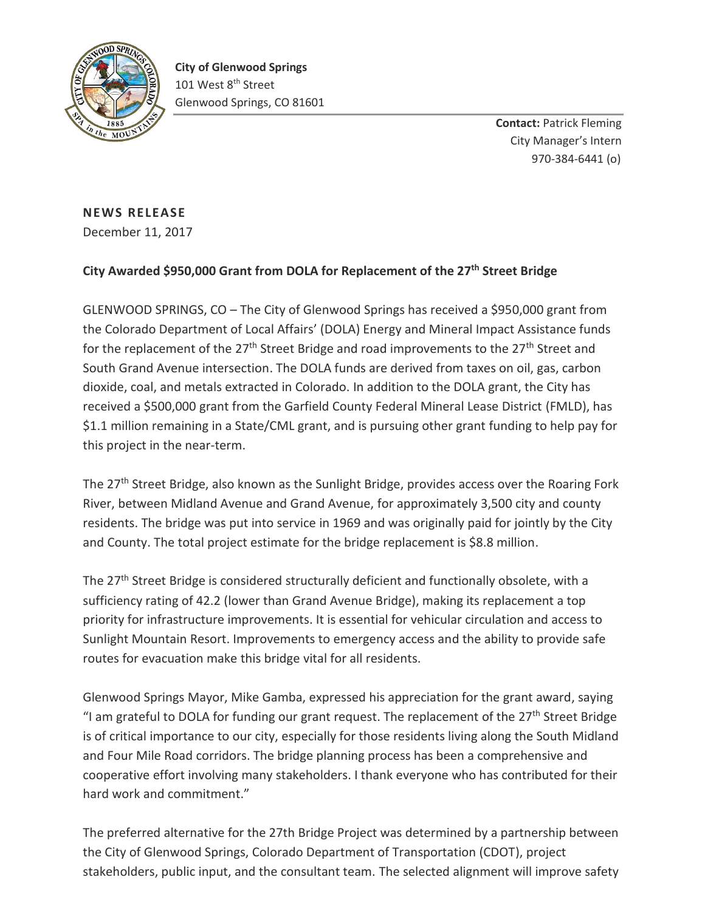

**Contact:** Patrick Fleming City Manager's Intern 970-384-6441 (o)

## **NEWS RELEASE** December 11, 2017

## **City Awarded \$950,000 Grant from DOLA for Replacement of the 27th Street Bridge**

GLENWOOD SPRINGS, CO – The City of Glenwood Springs has received a \$950,000 grant from the Colorado Department of Local Affairs' (DOLA) Energy and Mineral Impact Assistance funds for the replacement of the 27<sup>th</sup> Street Bridge and road improvements to the 27<sup>th</sup> Street and South Grand Avenue intersection. The DOLA funds are derived from taxes on oil, gas, carbon dioxide, coal, and metals extracted in Colorado. In addition to the DOLA grant, the City has received a \$500,000 grant from the Garfield County Federal Mineral Lease District (FMLD), has \$1.1 million remaining in a State/CML grant, and is pursuing other grant funding to help pay for this project in the near-term.

The 27<sup>th</sup> Street Bridge, also known as the Sunlight Bridge, provides access over the Roaring Fork River, between Midland Avenue and Grand Avenue, for approximately 3,500 city and county residents. The bridge was put into service in 1969 and was originally paid for jointly by the City and County. The total project estimate for the bridge replacement is \$8.8 million.

The 27<sup>th</sup> Street Bridge is considered structurally deficient and functionally obsolete, with a sufficiency rating of 42.2 (lower than Grand Avenue Bridge), making its replacement a top priority for infrastructure improvements. It is essential for vehicular circulation and access to Sunlight Mountain Resort. Improvements to emergency access and the ability to provide safe routes for evacuation make this bridge vital for all residents.

Glenwood Springs Mayor, Mike Gamba, expressed his appreciation for the grant award, saying "I am grateful to DOLA for funding our grant request. The replacement of the  $27<sup>th</sup>$  Street Bridge is of critical importance to our city, especially for those residents living along the South Midland and Four Mile Road corridors. The bridge planning process has been a comprehensive and cooperative effort involving many stakeholders. I thank everyone who has contributed for their hard work and commitment."

The preferred alternative for the 27th Bridge Project was determined by a partnership between the City of Glenwood Springs, Colorado Department of Transportation (CDOT), project stakeholders, public input, and the consultant team. The selected alignment will improve safety